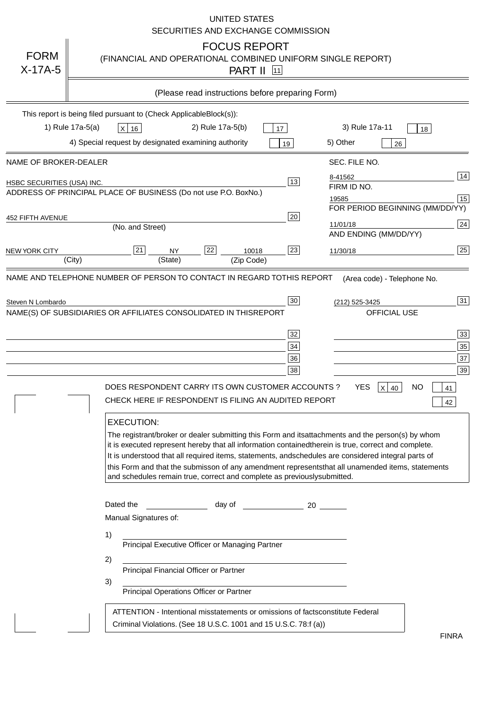|                                   | <b>UNITED STATES</b><br>SECURITIES AND EXCHANGE COMMISSION                                                                                                                                                                                                                                                                                                                                                                                                                                                                                                                                                                                                                                                                                                                                                                                                               |
|-----------------------------------|--------------------------------------------------------------------------------------------------------------------------------------------------------------------------------------------------------------------------------------------------------------------------------------------------------------------------------------------------------------------------------------------------------------------------------------------------------------------------------------------------------------------------------------------------------------------------------------------------------------------------------------------------------------------------------------------------------------------------------------------------------------------------------------------------------------------------------------------------------------------------|
| <b>FORM</b><br>$X-17A-5$          | <b>FOCUS REPORT</b><br>(FINANCIAL AND OPERATIONAL COMBINED UNIFORM SINGLE REPORT)<br><b>PART II</b> 11                                                                                                                                                                                                                                                                                                                                                                                                                                                                                                                                                                                                                                                                                                                                                                   |
|                                   | (Please read instructions before preparing Form)                                                                                                                                                                                                                                                                                                                                                                                                                                                                                                                                                                                                                                                                                                                                                                                                                         |
|                                   | This report is being filed pursuant to (Check Applicable<br>$Block(s)$ :<br>3) Rule 17a-11<br>1) Rule 17a-5(a)<br>2) Rule 17a-5(b)<br>$X$ 16<br>17<br>18<br>4) Special request by designated examining authority<br>5) Other<br>19<br>26                                                                                                                                                                                                                                                                                                                                                                                                                                                                                                                                                                                                                                 |
| NAME OF BROKER-DEALER             | SEC. FILE NO.                                                                                                                                                                                                                                                                                                                                                                                                                                                                                                                                                                                                                                                                                                                                                                                                                                                            |
| <b>HSBC SECURITIES (USA) INC.</b> | 14<br>8-41562<br>13<br>FIRM ID NO.<br>ADDRESS OF PRINCIPAL PLACE OF BUSINESS (Do not use P.O. Box<br>No.)<br>15<br>19585<br>FOR PERIOD BEGINNING (MM/DD/YY)                                                                                                                                                                                                                                                                                                                                                                                                                                                                                                                                                                                                                                                                                                              |
| <b>452 FIFTH AVENUE</b>           | 20<br>24<br>11/01/18<br>(No. and Street)<br>AND ENDING (MM/DD/YY)                                                                                                                                                                                                                                                                                                                                                                                                                                                                                                                                                                                                                                                                                                                                                                                                        |
| <b>NEW YORK CITY</b>              | 25<br>22<br>21<br>23<br><b>NY</b><br>10018<br>11/30/18<br>(City)<br>(State)<br>(Zip Code)                                                                                                                                                                                                                                                                                                                                                                                                                                                                                                                                                                                                                                                                                                                                                                                |
|                                   | NAME(S) OF SUBSIDIARIES OR AFFILIATES CONSOLIDATED IN THIS<br><b>REPORT</b><br><b>OFFICIAL USE</b><br>$\overline{33}$<br>32<br>35<br>34<br>37<br>36<br>39<br>38<br>DOES RESPONDENT CARRY ITS OWN CUSTOMER ACCOUNTS?<br><b>YES</b><br>$X$ 40<br><b>NO</b><br>41<br>CHECK HERE IF RESPONDENT IS FILING AN AUDITED REPORT<br>42<br><b>EXECUTION:</b><br>The registrant/broker or dealer submitting this Form and its<br>attachments and the person(s) by whom<br>it is executed represent hereby that all information contained<br>therein is true, correct and complete.<br>It is understood that all required items, statements, and<br>schedules are considered integral parts of<br>this Form and that the submisson of any amendment represents<br>that all unamended items, statements<br>and schedules remain true, correct and complete as previously<br>submitted. |
|                                   | Dated the<br>day of<br>20<br>Manual Signatures of:<br>1)<br>Principal Executive Officer or Managing Partner<br>2)<br>Principal Financial Officer or Partner<br>3)<br>Principal Operations Officer or Partner                                                                                                                                                                                                                                                                                                                                                                                                                                                                                                                                                                                                                                                             |
|                                   | ATTENTION - Intentional misstatements or omissions of facts<br>constitute Federal<br>Criminal Violations. (See 18 U.S.C. 1001 and 15 U.S.C. 78:f (a)<br>$\lambda$<br><b>FINRA</b>                                                                                                                                                                                                                                                                                                                                                                                                                                                                                                                                                                                                                                                                                        |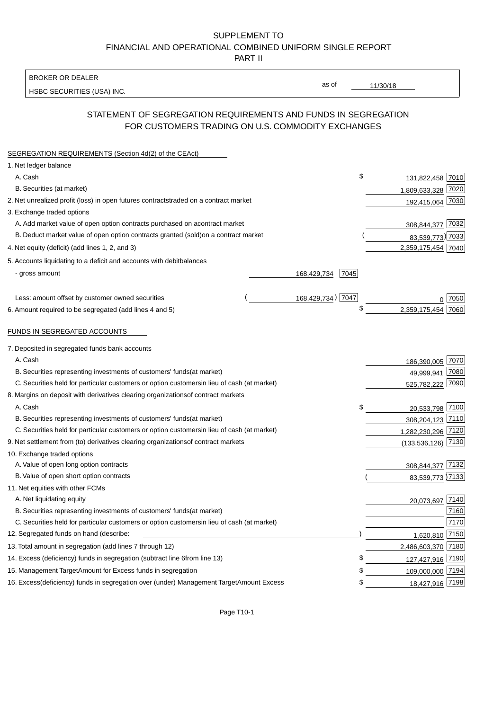BROKER OR DEALER

HSBC SECURITIES (USA) INC.

11/30/18

as of

## STATEMENT OF SEGREGATION REQUIREMENTS AND FUNDS IN SEGREGATION FOR CUSTOMERS TRADING ON U.S. COMMODITY EXCHANGES

| SEGREGATION REQUIREMENTS (Section 4d(2) of the CEAct)                                          |                   |      |                    |         |
|------------------------------------------------------------------------------------------------|-------------------|------|--------------------|---------|
| 1. Net ledger balance                                                                          |                   |      |                    |         |
| A. Cash                                                                                        |                   | \$   | 131,822,458 7010   |         |
| B. Securities (at market)                                                                      |                   |      | 1,809,633,328 7020 |         |
| 2. Net unrealized profit (loss) in open futures contracts<br>traded on a contract market       |                   |      | 192,415,064 7030   |         |
| 3. Exchange traded options                                                                     |                   |      |                    |         |
| A. Add market value of open option contracts purchased on a<br>contract market                 |                   |      | 308,844,377 7032   |         |
| B. Deduct market value of open option contracts granted (sold)<br>on a contract market         |                   |      | 83,539,773) 7033   |         |
| 4. Net equity (deficit) (add lines 1, 2, and 3)                                                |                   |      | 2,359,175,454 7040 |         |
| 5. Accounts liquidating to a deficit and accounts with debit<br>balances                       |                   |      |                    |         |
| - gross amount                                                                                 | 168,429,734       | 7045 |                    |         |
|                                                                                                |                   |      |                    |         |
| Less: amount offset by customer owned securities                                               | 168,429,734) 7047 |      |                    | ი  7050 |
| 6. Amount required to be segregated (add lines 4 and 5)                                        |                   | \$   | 2,359,175,454      | 7060    |
|                                                                                                |                   |      |                    |         |
| FUNDS IN SEGREGATED ACCOUNTS                                                                   |                   |      |                    |         |
| 7. Deposited in segregated funds bank accounts                                                 |                   |      |                    |         |
| A. Cash                                                                                        |                   |      | 186,390,005 7070   |         |
| B. Securities representing investments of customers' funds<br>(at market)                      |                   |      | 49,999,941         | 7080    |
| C. Securities held for particular customers or option customers<br>in lieu of cash (at market) |                   |      | 525,782,222        | 7090    |
| 8. Margins on deposit with derivatives clearing organizations<br>of contract markets           |                   |      |                    |         |
| A. Cash                                                                                        |                   | \$   | 20,533,798 7100    |         |
| B. Securities representing investments of customers' funds<br>(at market)                      |                   |      | 308,204,123 7110   |         |
| C. Securities held for particular customers or option customers<br>in lieu of cash (at market) |                   |      | 1,282,230,296 7120 |         |
| 9. Net settlement from (to) derivatives clearing organizations<br>of contract markets          |                   |      | (133, 536, 126)    | 7130    |
| 10. Exchange traded options                                                                    |                   |      |                    |         |
| A. Value of open long option contracts                                                         |                   |      | 308,844,377 7132   |         |
| B. Value of open short option contracts                                                        |                   |      | 83,539,773 7133    |         |
| 11. Net equities with other FCMs                                                               |                   |      |                    |         |
| A. Net liquidating equity                                                                      |                   |      | 20,073,697 7140    |         |
| B. Securities representing investments of customers' funds<br>(at market)                      |                   |      |                    | 7160    |
| C. Securities held for particular customers or option customers<br>in lieu of cash (at market) |                   |      |                    | 7170    |
| 12. Segregated funds on hand (describe:                                                        |                   |      | 1,620,810 7150     |         |
| 13. Total amount in segregation (add lines 7 through 12)                                       |                   |      | 2,486,603,370 7180 |         |
| 14. Excess (deficiency) funds in segregation (subtract line 6 from line 13)                    |                   | £    | 127,427,916 7190   |         |
| 15. Management Target Amount for Excess funds in segregation                                   |                   | \$   | 109,000,000 7194   |         |
| 16. Excess (deficiency) funds in segregation over (under) Management Target Amount Excess      |                   | \$   | 18,427,916 7198    |         |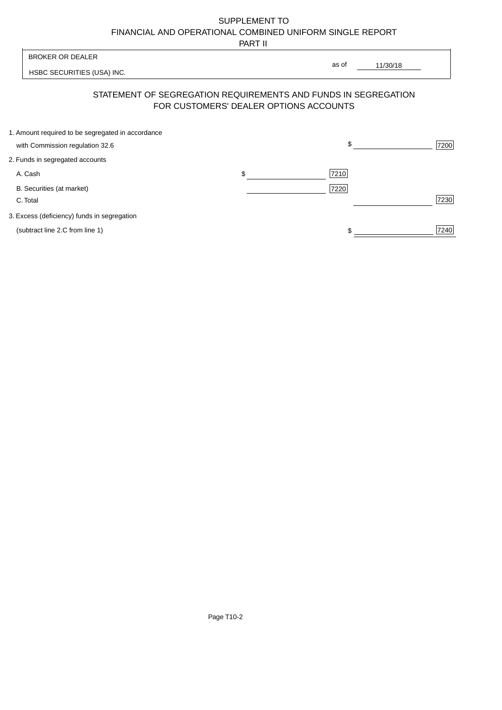PART II

| <b>BROKER OR DEALER</b>                           |                                        | as of                                                          |      |
|---------------------------------------------------|----------------------------------------|----------------------------------------------------------------|------|
| HSBC SECURITIES (USA) INC.                        |                                        | 11/30/18                                                       |      |
|                                                   | FOR CUSTOMERS' DEALER OPTIONS ACCOUNTS | STATEMENT OF SEGREGATION REQUIREMENTS AND FUNDS IN SEGREGATION |      |
| 1. Amount required to be segregated in accordance |                                        |                                                                |      |
| with Commission regulation 32.6                   |                                        | \$                                                             | 7200 |
| 2. Funds in segregated accounts                   |                                        |                                                                |      |
| A. Cash                                           | \$                                     | 7210                                                           |      |
| B. Securities (at market)                         |                                        | 7220                                                           |      |
| C. Total                                          |                                        |                                                                | 7230 |
| 3. Excess (deficiency) funds in segregation       |                                        |                                                                |      |

(subtract line 2.C from line 1)  $\sqrt{7240}$  $\frac{1}{1}$ 

F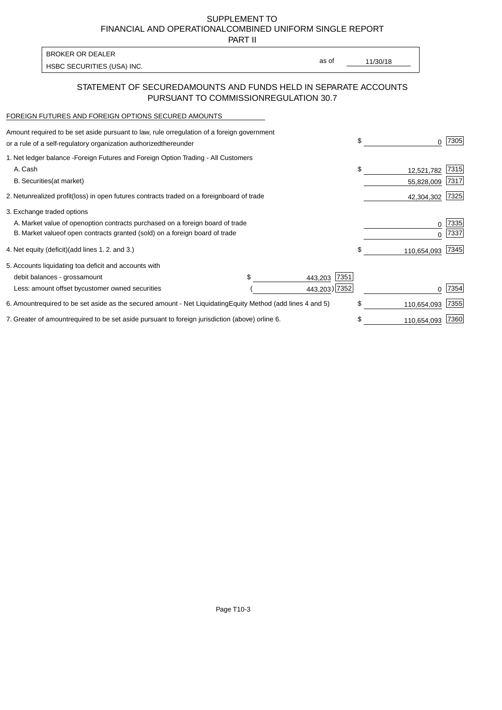PART II

HSBC SECURITIES (USA) INC. The state of the second second in the second second in the second second in the second second in the second second second in the second second second second second second second second second sec BROKER OR DEALER

as of

## STATEMENT OF SECURED AMOUNTS AND FUNDS HELD IN SEPARATE ACCOUNTS PURSUANT TO COMMISSION REGULATION 30.7

#### FOREIGN FUTURES AND FOREIGN OPTIONS SECURED AMOUNTS

| regulation of a foreign government<br>Amount required to be set aside pursuant to law, rule or<br>or a rule of a self-regulatory organization authorized<br>thereunder                       |                                   |                                  | \$                             | 7305         |
|----------------------------------------------------------------------------------------------------------------------------------------------------------------------------------------------|-----------------------------------|----------------------------------|--------------------------------|--------------|
| 1. Net ledger balance - Foreign Futures and Foreign Option Trading - All Customers<br>A. Cash<br><b>B.</b> Securities<br>(at market)                                                         |                                   |                                  | \$<br>12,521,782<br>55,828,009 | 7315<br>7317 |
| unrealized profit (loss) in open futures contracts traded on a foreign<br>2. Net                                                                                                             | board of trade                    |                                  | 42,304,302                     | 7325         |
| 3. Exchange traded options<br>A. Market value of open option contracts purchased on a foreign board of trade<br>B. Market value of open contracts granted (sold) on a foreign board of trade |                                   |                                  | $\Omega$                       | 7335<br>7337 |
| (add lines 1.2. and 3.)<br>4. Net equity (deficit)                                                                                                                                           |                                   |                                  | \$<br>110,654,093              | 7345         |
| 5. Accounts liquidating to<br>a deficit and accounts with<br>debit balances - gross<br>amount<br>Less: amount offset by<br>customer owned securities                                         |                                   | 7351<br>443,203<br>443,203) 7352 |                                | 7354         |
| required to be set aside as the secured amount - Net Liquidating<br>6. Amount                                                                                                                | Equity Method (add lines 4 and 5) |                                  | \$<br>110,654,093              | 7355         |
| 7. Greater of amount required to be set aside pursuant to foreign jurisdiction (above) or line 6.                                                                                            |                                   |                                  | 110,654,093                    | 7360         |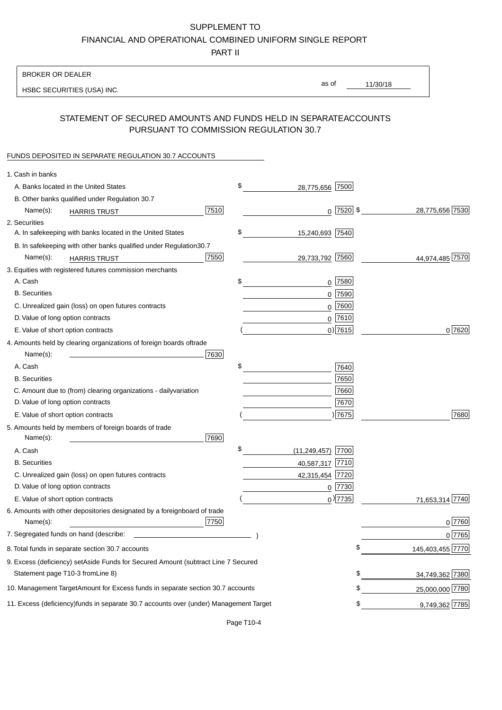PART II

| <b>BROKER OR DEALER</b>                                                                           |                           |             |                 |                  |
|---------------------------------------------------------------------------------------------------|---------------------------|-------------|-----------------|------------------|
| HSBC SECURITIES (USA) INC.                                                                        | as of                     |             | 11/30/18        |                  |
| STATEMENT OF SECURED AMOUNTS AND FUNDS HELD IN SEPARATE<br>PURSUANT TO COMMISSION REGULATION 30.7 |                           |             | <b>ACCOUNTS</b> |                  |
| FUNDS DEPOSITED IN SEPARATE REGULATION 30.7 ACCOUNTS                                              |                           |             |                 |                  |
| 1. Cash in banks                                                                                  |                           |             |                 |                  |
| A. Banks located in the United States                                                             | \$<br>28,775,656 7500     |             |                 |                  |
| B. Other banks qualified under Regulation 30.7                                                    |                           |             |                 |                  |
| 7510<br>Name(s):                                                                                  |                           | $0$ 7520 \$ |                 | 28,775,656 7530  |
| <b>HARRIS TRUST</b><br>2. Securities                                                              |                           |             |                 |                  |
| A. In safekeeping with banks located in the United States                                         | \$<br>15,240,693 7540     |             |                 |                  |
| B. In safekeeping with other banks qualified under Regulation<br>30.7                             |                           |             |                 |                  |
| 7550<br>Name(s):<br><b>HARRIS TRUST</b>                                                           | 29,733,792 7560           |             |                 | 44,974,485 7570  |
| 3. Equities with registered futures commission merchants                                          |                           |             |                 |                  |
| A. Cash                                                                                           | \$                        | $0$ 7580    |                 |                  |
| <b>B.</b> Securities                                                                              |                           | $0$ 7590    |                 |                  |
| C. Unrealized gain (loss) on open futures contracts                                               |                           | $0$ 7600    |                 |                  |
| D. Value of long option contracts                                                                 |                           | $0$ 7610    |                 |                  |
| E. Value of short option contracts                                                                |                           | $0)$ 7615   |                 | 0 7620           |
| 4. Amounts held by clearing organizations of foreign boards of<br>trade                           |                           |             |                 |                  |
| Name(s):<br>7630                                                                                  |                           |             |                 |                  |
| A. Cash                                                                                           | \$                        | 7640        |                 |                  |
| <b>B.</b> Securities                                                                              |                           | 7650        |                 |                  |
| C. Amount due to (from) clearing organizations - daily<br>variation                               |                           | 7660        |                 |                  |
| D. Value of long option contracts                                                                 |                           | 7670        |                 |                  |
| E. Value of short option contracts                                                                |                           | ) 7675      |                 | 7680             |
| 5. Amounts held by members of foreign boards of trade<br>Name(s):<br>7690                         |                           |             |                 |                  |
| A. Cash                                                                                           | \$<br>$(11,249,457)$ 7700 |             |                 |                  |
| <b>B.</b> Securities                                                                              | 40,587,317 7710           |             |                 |                  |
| C. Unrealized gain (loss) on open futures contracts                                               | 42,315,454 7720           |             |                 |                  |
| D. Value of long option contracts                                                                 |                           | $0$  7730   |                 |                  |
| E. Value of short option contracts                                                                |                           | $0$ ) 7735  |                 | 71,653,314 7740  |
| 6. Amounts with other depositories designated by a foreign<br>board of trade<br>7750<br>Name(s):  |                           |             |                 | 0 7760           |
| 7. Segregated funds on hand (describe:                                                            |                           |             |                 | $0$ 7765         |
| 8. Total funds in separate section 30.7 accounts                                                  |                           |             | \$              | 145,403,455 7770 |
| 9. Excess (deficiency) set Aside Funds for Secured Amount (subtract Line 7 Secured                |                           |             |                 |                  |
| Statement page T10-3 from Line 8)                                                                 |                           |             | \$              | 34,749,362 7380  |
| 10. Management Target Amount for Excess funds in separate section 30.7 accounts                   |                           |             | \$              | 25,000,000 7780  |
| 11. Excess (deficiency) funds in separate 30.7 accounts over (under) Management Target            |                           |             | \$              | 9,749,362 7785   |
|                                                                                                   |                           |             |                 |                  |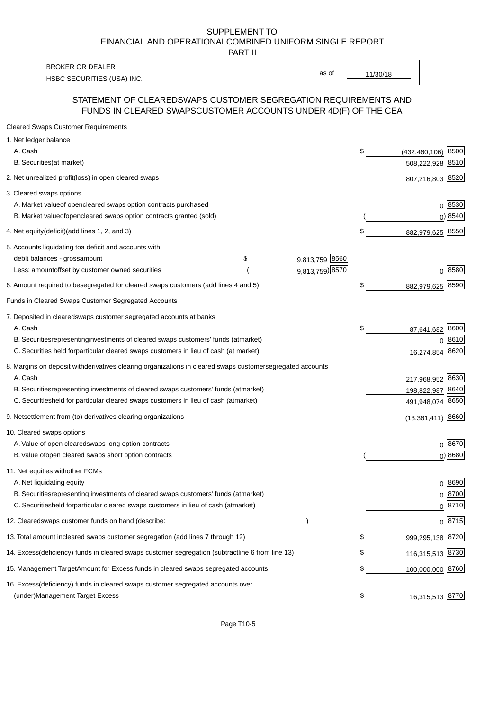PART II

HSBC SECURITIES (USA) INC. The state of the state of the state of the state of the state of the state of the state of the state of the state of the state of the state of the state of the state of the state of the state of BROKER OR DEALER

as of

### STATEMENT OF CLEARED SWAPS CUSTOMER SEGREGATION REQUIREMENTS AND FUNDS IN CLEARED SWAPS CUSTOMER ACCOUNTS UNDER 4D(F) OF THE CEA

| <b>Cleared Swaps Customer Requirements</b>                                                                  |                               |
|-------------------------------------------------------------------------------------------------------------|-------------------------------|
| 1. Net ledger balance                                                                                       |                               |
| A. Cash                                                                                                     | \$<br>8500<br>(432, 460, 106) |
| B. Securities (at market)                                                                                   | 508,222,928<br>8510           |
| 2. Net unrealized profit (loss) in open cleared swaps                                                       | 807,216,803 8520              |
| 3. Cleared swaps options                                                                                    |                               |
| A. Market value of open cleared swaps option contracts purchased                                            | $0^{8530}$                    |
| B. Market value of open cleared swaps option contracts granted (sold)                                       | $0)$ 8540                     |
| 4. Net equity (deficit) (add lines 1, 2, and 3)                                                             | \$<br>882,979,625 8550        |
| 5. Accounts liquidating to a deficit and accounts with                                                      |                               |
| 9,813,759 8560<br>debit balances - gross<br>\$<br>amount                                                    |                               |
| 9,813,759) 8570<br>Less: amount offset by customer owned securities                                         | 0 8580                        |
| 6. Amount required to be segregated for cleared swaps customers (add lines 4 and 5)                         | \$<br>8590<br>882,979,625     |
| <b>Funds in Cleared Swaps Customer Segregated Accounts</b>                                                  |                               |
| 7. Deposited in cleared swaps customer segregated accounts at banks                                         |                               |
| A. Cash                                                                                                     | \$<br>8600<br>87,641,682      |
| B. Securities representing investments of cleared swaps customers' funds (at market)                        | 8610<br>$\Omega$              |
| C. Securities held for particular cleared swaps customers in lieu of cash (at market)                       | 8620<br>16,274,854            |
| 8. Margins on deposit with derivatives clearing organizations in cleared swaps customer segregated accounts |                               |
| A. Cash                                                                                                     | 217,968,952 8630              |
| representing investments of cleared swaps customers' funds (at market)<br><b>B.</b> Securities              | 198,822,987 8640              |
| held for particular cleared swaps customers in lieu of cash (at market)<br>C. Securities                    | 491,948,074 8650              |
| 9. Net settlement from (to) derivatives clearing organizations                                              | $(13,361,411)$ 8660           |
| 10. Cleared swaps options                                                                                   |                               |
| A. Value of open cleared swaps long option contracts                                                        | $0^{8670}$                    |
| B. Value of open cleared swaps short option contracts                                                       | $0)$ 8680                     |
| 11. Net equities with other FCMs                                                                            |                               |
| A. Net liquidating equity                                                                                   | $0^{8690}$                    |
| B. Securities representing investments of cleared swaps customers' funds (at market)                        | $0^{8700}$                    |
| C. Securities held for particular cleared swaps customers in lieu of cash (at market)                       | 0 8710                        |
|                                                                                                             |                               |
| 12. Cleared swaps customer funds on hand (describe:                                                         | $0 \;  8715 $                 |
| 13. Total amount in cleared swaps customer segregation (add lines 7 through 12)                             | \$<br>999,295,138 8720        |
| 14. Excess (deficiency) funds in cleared swaps customer segregation (subtract line 6 from line 13)          | 116,315,513 8730              |
| 15. Management Target Amount for Excess funds in cleared swaps segregated accounts                          | \$<br>100,000,000 8760        |
| 16. Excess<br>(deficiency) funds in cleared swaps customer segregated accounts over                         |                               |
| <b>Management Target Excess</b><br>(under)                                                                  | \$<br>16,315,513 8770         |